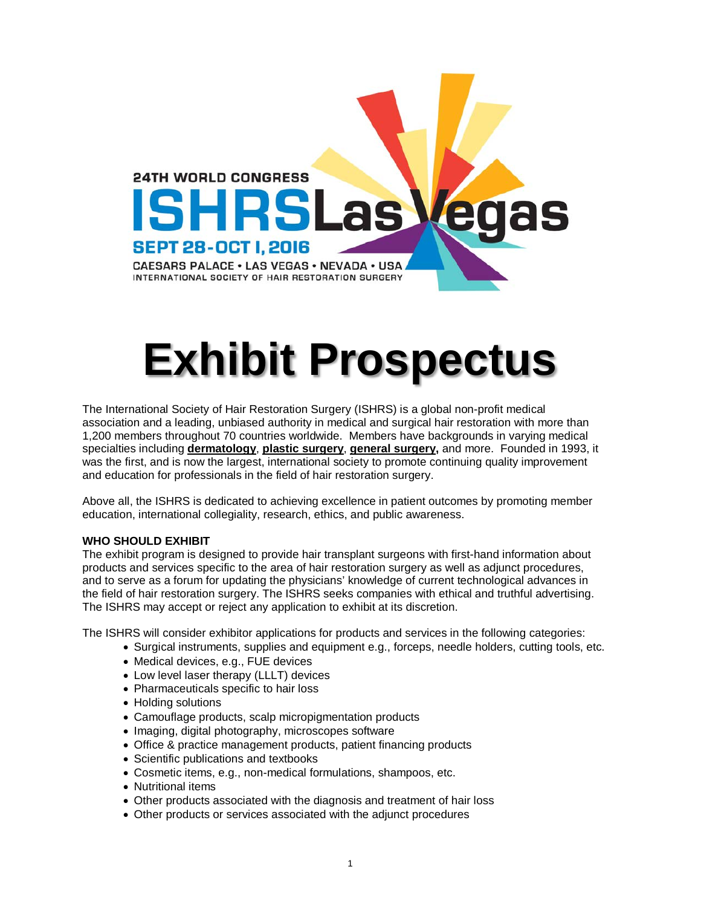

# **Exhibit Prospectus**

The International Society of Hair Restoration Surgery (ISHRS) is a global non-profit medical association and a leading, unbiased authority in medical and surgical hair restoration with more than 1,200 members throughout 70 countries worldwide. Members have backgrounds in varying medical specialties including **dermatology**, **plastic surgery**, **general surgery,** and more. Founded in 1993, it was the first, and is now the largest, international society to promote continuing quality improvement and education for professionals in the field of hair restoration surgery.

Above all, the ISHRS is dedicated to achieving excellence in patient outcomes by promoting member education, international collegiality, research, ethics, and public awareness.

#### **WHO SHOULD EXHIBIT**

The exhibit program is designed to provide hair transplant surgeons with first-hand information about products and services specific to the area of hair restoration surgery as well as adjunct procedures, and to serve as a forum for updating the physicians' knowledge of current technological advances in the field of hair restoration surgery. The ISHRS seeks companies with ethical and truthful advertising. The ISHRS may accept or reject any application to exhibit at its discretion.

The ISHRS will consider exhibitor applications for products and services in the following categories:

- Surgical instruments, supplies and equipment e.g., forceps, needle holders, cutting tools, etc.
- Medical devices, e.g., FUE devices
- Low level laser therapy (LLLT) devices
- Pharmaceuticals specific to hair loss
- Holding solutions
- Camouflage products, scalp micropigmentation products
- Imaging, digital photography, microscopes software
- Office & practice management products, patient financing products
- Scientific publications and textbooks
- Cosmetic items, e.g., non-medical formulations, shampoos, etc.
- Nutritional items
- Other products associated with the diagnosis and treatment of hair loss
- Other products or services associated with the adjunct procedures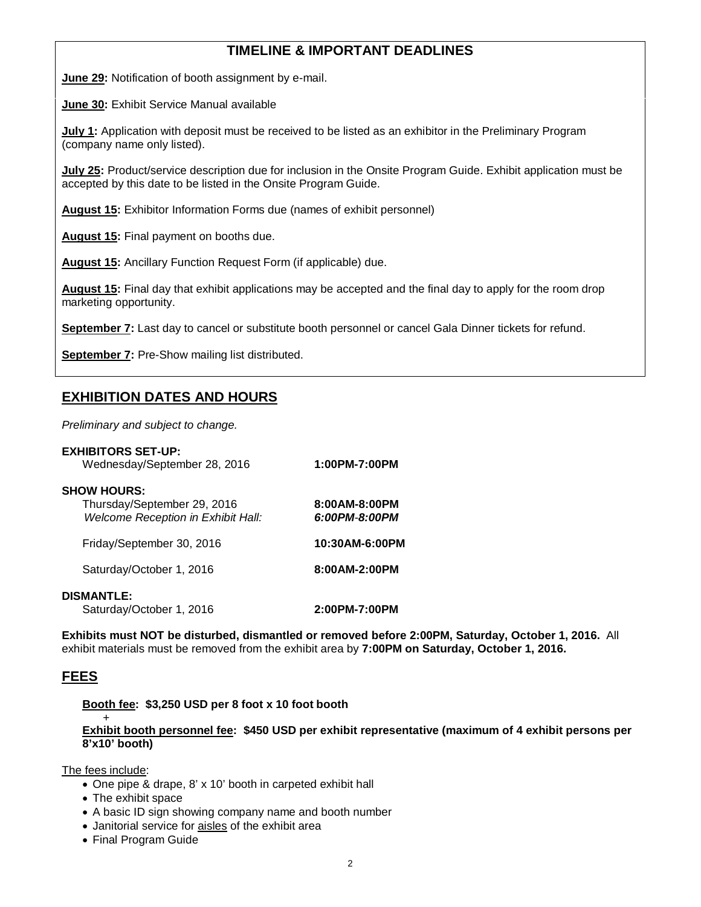# **TIMELINE & IMPORTANT DEADLINES**

**June 29:** Notification of booth assignment by e-mail.

**June 30:** Exhibit Service Manual available

**July 1:** Application with deposit must be received to be listed as an exhibitor in the Preliminary Program (company name only listed).

**July 25:** Product/service description due for inclusion in the Onsite Program Guide. Exhibit application must be accepted by this date to be listed in the Onsite Program Guide.

**August 15:** Exhibitor Information Forms due (names of exhibit personnel)

**August 15:** Final payment on booths due.

**August 15:** Ancillary Function Request Form (if applicable) due.

**August 15:** Final day that exhibit applications may be accepted and the final day to apply for the room drop marketing opportunity.

**September 7:** Last day to cancel or substitute booth personnel or cancel Gala Dinner tickets for refund.

**September 7:** Pre-Show mailing list distributed.

# **EXHIBITION DATES AND HOURS**

*Preliminary and subject to change.*

| <b>EXHIBITORS SET-UP:</b><br>Wednesday/September 28, 2016                               | 1:00PM-7:00PM                  |
|-----------------------------------------------------------------------------------------|--------------------------------|
| <b>SHOW HOURS:</b><br>Thursday/September 29, 2016<br>Welcome Reception in Exhibit Hall: | 8:00AM-8:00PM<br>6:00PM-8:00PM |
| Friday/September 30, 2016                                                               | 10:30AM-6:00PM                 |
| Saturday/October 1, 2016                                                                | 8:00AM-2:00PM                  |
| <b>DISMANTLE:</b><br>Saturday/October 1, 2016                                           | 2:00PM-7:00PM                  |

**Exhibits must NOT be disturbed, dismantled or removed before 2:00PM, Saturday, October 1, 2016.** All exhibit materials must be removed from the exhibit area by **7:00PM on Saturday, October 1, 2016.**

#### **FEES**

#### **Booth fee: \$3,250 USD per 8 foot x 10 foot booth**

#### + **Exhibit booth personnel fee: \$450 USD per exhibit representative (maximum of 4 exhibit persons per 8'x10' booth)**

The fees include:

- One pipe & drape, 8' x 10' booth in carpeted exhibit hall
- The exhibit space
- A basic ID sign showing company name and booth number
- Janitorial service for aisles of the exhibit area
- Final Program Guide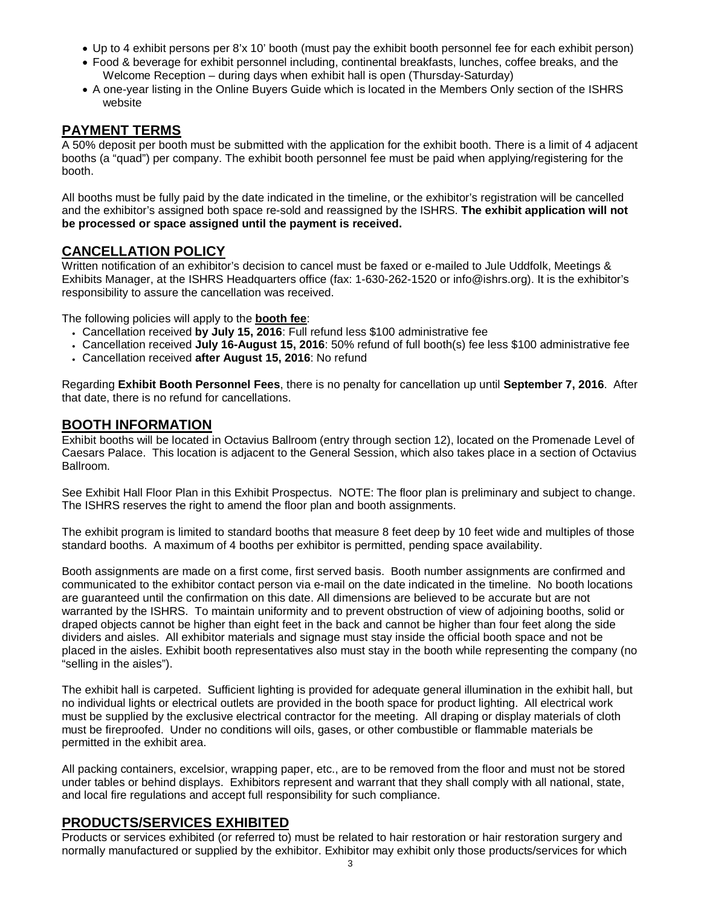- Up to 4 exhibit persons per 8'x 10' booth (must pay the exhibit booth personnel fee for each exhibit person)
- Food & beverage for exhibit personnel including, continental breakfasts, lunches, coffee breaks, and the Welcome Reception – during days when exhibit hall is open (Thursday-Saturday)
- A one-year listing in the Online Buyers Guide which is located in the Members Only section of the ISHRS website

## **PAYMENT TERMS**

A 50% deposit per booth must be submitted with the application for the exhibit booth. There is a limit of 4 adjacent booths (a "quad") per company. The exhibit booth personnel fee must be paid when applying/registering for the booth.

All booths must be fully paid by the date indicated in the timeline, or the exhibitor's registration will be cancelled and the exhibitor's assigned both space re-sold and reassigned by the ISHRS. **The exhibit application will not be processed or space assigned until the payment is received.**

# **CANCELLATION POLICY**

Written notification of an exhibitor's decision to cancel must be faxed or e-mailed to Jule Uddfolk, Meetings & Exhibits Manager, at the ISHRS Headquarters office (fax: 1-630-262-1520 or info@ishrs.org). It is the exhibitor's responsibility to assure the cancellation was received.

The following policies will apply to the **booth fee**:

- Cancellation received **by July 15, 2016**: Full refund less \$100 administrative fee
- Cancellation received **July 16-August 15, 2016**: 50% refund of full booth(s) fee less \$100 administrative fee
- Cancellation received **after August 15, 2016**: No refund

Regarding **Exhibit Booth Personnel Fees**, there is no penalty for cancellation up until **September 7, 2016**. After that date, there is no refund for cancellations.

## **BOOTH INFORMATION**

Exhibit booths will be located in Octavius Ballroom (entry through section 12), located on the Promenade Level of Caesars Palace. This location is adjacent to the General Session, which also takes place in a section of Octavius Ballroom.

See Exhibit Hall Floor Plan in this Exhibit Prospectus. NOTE: The floor plan is preliminary and subject to change. The ISHRS reserves the right to amend the floor plan and booth assignments.

The exhibit program is limited to standard booths that measure 8 feet deep by 10 feet wide and multiples of those standard booths. A maximum of 4 booths per exhibitor is permitted, pending space availability.

Booth assignments are made on a first come, first served basis. Booth number assignments are confirmed and communicated to the exhibitor contact person via e-mail on the date indicated in the timeline. No booth locations are guaranteed until the confirmation on this date. All dimensions are believed to be accurate but are not warranted by the ISHRS. To maintain uniformity and to prevent obstruction of view of adjoining booths, solid or draped objects cannot be higher than eight feet in the back and cannot be higher than four feet along the side dividers and aisles. All exhibitor materials and signage must stay inside the official booth space and not be placed in the aisles. Exhibit booth representatives also must stay in the booth while representing the company (no "selling in the aisles").

The exhibit hall is carpeted. Sufficient lighting is provided for adequate general illumination in the exhibit hall, but no individual lights or electrical outlets are provided in the booth space for product lighting. All electrical work must be supplied by the exclusive electrical contractor for the meeting. All draping or display materials of cloth must be fireproofed. Under no conditions will oils, gases, or other combustible or flammable materials be permitted in the exhibit area.

All packing containers, excelsior, wrapping paper, etc., are to be removed from the floor and must not be stored under tables or behind displays. Exhibitors represent and warrant that they shall comply with all national, state, and local fire regulations and accept full responsibility for such compliance.

# **PRODUCTS/SERVICES EXHIBITED**

Products or services exhibited (or referred to) must be related to hair restoration or hair restoration surgery and normally manufactured or supplied by the exhibitor. Exhibitor may exhibit only those products/services for which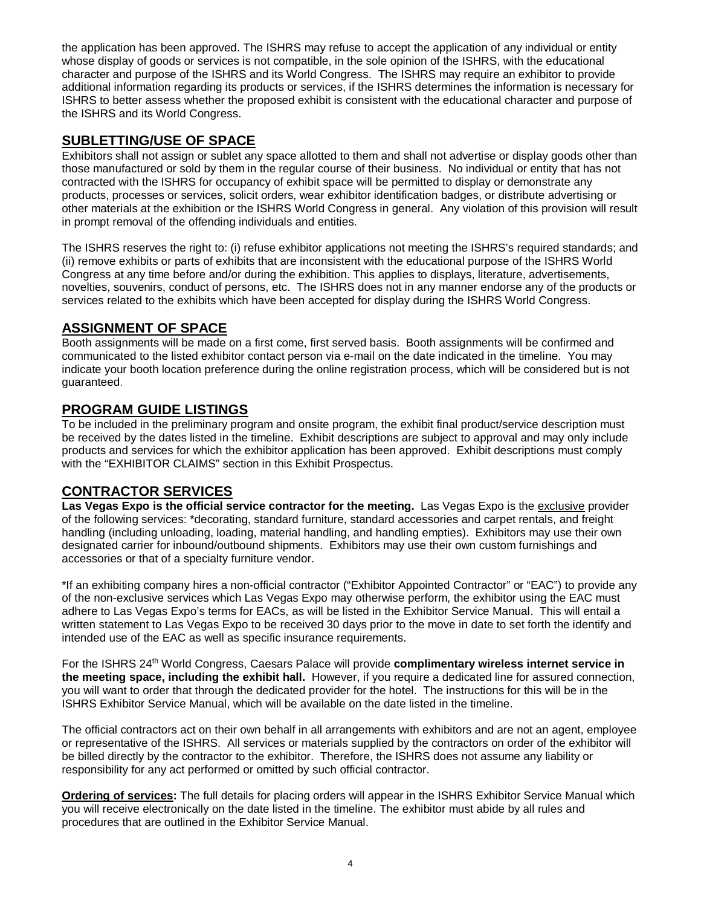the application has been approved. The ISHRS may refuse to accept the application of any individual or entity whose display of goods or services is not compatible, in the sole opinion of the ISHRS, with the educational character and purpose of the ISHRS and its World Congress. The ISHRS may require an exhibitor to provide additional information regarding its products or services, if the ISHRS determines the information is necessary for ISHRS to better assess whether the proposed exhibit is consistent with the educational character and purpose of the ISHRS and its World Congress.

# **SUBLETTING/USE OF SPACE**

Exhibitors shall not assign or sublet any space allotted to them and shall not advertise or display goods other than those manufactured or sold by them in the regular course of their business. No individual or entity that has not contracted with the ISHRS for occupancy of exhibit space will be permitted to display or demonstrate any products, processes or services, solicit orders, wear exhibitor identification badges, or distribute advertising or other materials at the exhibition or the ISHRS World Congress in general. Any violation of this provision will result in prompt removal of the offending individuals and entities.

The ISHRS reserves the right to: (i) refuse exhibitor applications not meeting the ISHRS's required standards; and (ii) remove exhibits or parts of exhibits that are inconsistent with the educational purpose of the ISHRS World Congress at any time before and/or during the exhibition. This applies to displays, literature, advertisements, novelties, souvenirs, conduct of persons, etc. The ISHRS does not in any manner endorse any of the products or services related to the exhibits which have been accepted for display during the ISHRS World Congress.

# **ASSIGNMENT OF SPACE**

Booth assignments will be made on a first come, first served basis. Booth assignments will be confirmed and communicated to the listed exhibitor contact person via e-mail on the date indicated in the timeline. You may indicate your booth location preference during the online registration process, which will be considered but is not guaranteed.

# **PROGRAM GUIDE LISTINGS**

To be included in the preliminary program and onsite program, the exhibit final product/service description must be received by the dates listed in the timeline. Exhibit descriptions are subject to approval and may only include products and services for which the exhibitor application has been approved. Exhibit descriptions must comply with the "EXHIBITOR CLAIMS" section in this Exhibit Prospectus.

# **CONTRACTOR SERVICES**

**Las Vegas Expo is the official service contractor for the meeting.** Las Vegas Expo is the exclusive provider of the following services: \*decorating, standard furniture, standard accessories and carpet rentals, and freight handling (including unloading, loading, material handling, and handling empties). Exhibitors may use their own designated carrier for inbound/outbound shipments. Exhibitors may use their own custom furnishings and accessories or that of a specialty furniture vendor.

\*If an exhibiting company hires a non-official contractor ("Exhibitor Appointed Contractor" or "EAC") to provide any of the non-exclusive services which Las Vegas Expo may otherwise perform, the exhibitor using the EAC must adhere to Las Vegas Expo's terms for EACs, as will be listed in the Exhibitor Service Manual. This will entail a written statement to Las Vegas Expo to be received 30 days prior to the move in date to set forth the identify and intended use of the EAC as well as specific insurance requirements.

For the ISHRS 24<sup>th</sup> World Congress, Caesars Palace will provide **complimentary wireless internet service in the meeting space, including the exhibit hall.** However, if you require a dedicated line for assured connection, you will want to order that through the dedicated provider for the hotel. The instructions for this will be in the ISHRS Exhibitor Service Manual, which will be available on the date listed in the timeline.

The official contractors act on their own behalf in all arrangements with exhibitors and are not an agent, employee or representative of the ISHRS. All services or materials supplied by the contractors on order of the exhibitor will be billed directly by the contractor to the exhibitor. Therefore, the ISHRS does not assume any liability or responsibility for any act performed or omitted by such official contractor.

**Ordering of services:** The full details for placing orders will appear in the ISHRS Exhibitor Service Manual which you will receive electronically on the date listed in the timeline. The exhibitor must abide by all rules and procedures that are outlined in the Exhibitor Service Manual.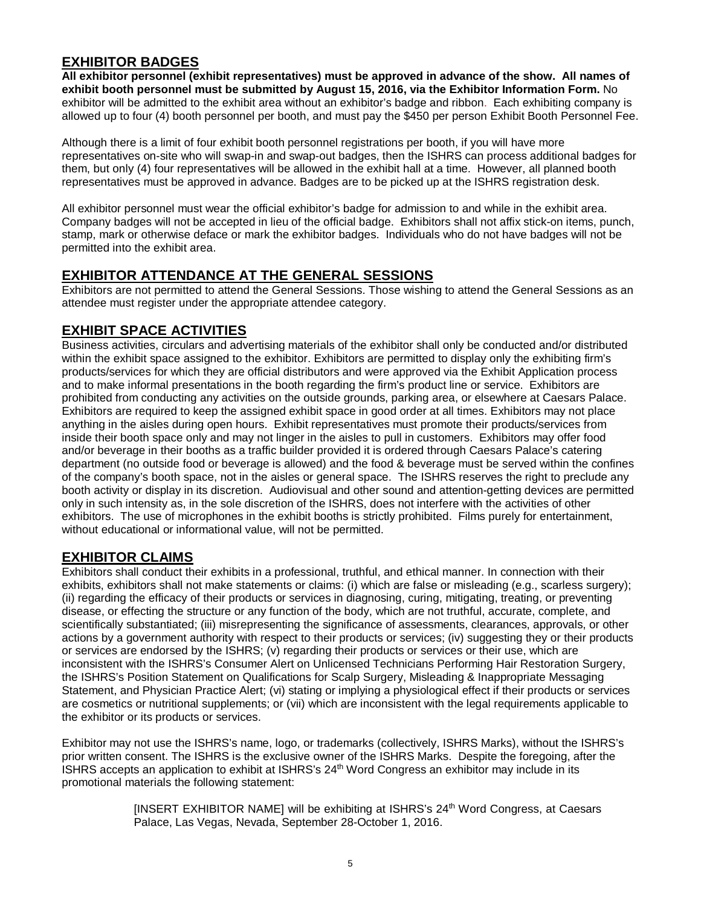# **EXHIBITOR BADGES**

**All exhibitor personnel (exhibit representatives) must be approved in advance of the show. All names of exhibit booth personnel must be submitted by August 15, 2016, via the Exhibitor Information Form.** No exhibitor will be admitted to the exhibit area without an exhibitor's badge and ribbon. Each exhibiting company is allowed up to four (4) booth personnel per booth, and must pay the \$450 per person Exhibit Booth Personnel Fee.

Although there is a limit of four exhibit booth personnel registrations per booth, if you will have more representatives on-site who will swap-in and swap-out badges, then the ISHRS can process additional badges for them, but only (4) four representatives will be allowed in the exhibit hall at a time. However, all planned booth representatives must be approved in advance. Badges are to be picked up at the ISHRS registration desk.

All exhibitor personnel must wear the official exhibitor's badge for admission to and while in the exhibit area. Company badges will not be accepted in lieu of the official badge. Exhibitors shall not affix stick-on items, punch, stamp, mark or otherwise deface or mark the exhibitor badges. Individuals who do not have badges will not be permitted into the exhibit area.

## **EXHIBITOR ATTENDANCE AT THE GENERAL SESSIONS**

Exhibitors are not permitted to attend the General Sessions. Those wishing to attend the General Sessions as an attendee must register under the appropriate attendee category.

# **EXHIBIT SPACE ACTIVITIES**

Business activities, circulars and advertising materials of the exhibitor shall only be conducted and/or distributed within the exhibit space assigned to the exhibitor. Exhibitors are permitted to display only the exhibiting firm's products/services for which they are official distributors and were approved via the Exhibit Application process and to make informal presentations in the booth regarding the firm's product line or service. Exhibitors are prohibited from conducting any activities on the outside grounds, parking area, or elsewhere at Caesars Palace. Exhibitors are required to keep the assigned exhibit space in good order at all times. Exhibitors may not place anything in the aisles during open hours. Exhibit representatives must promote their products/services from inside their booth space only and may not linger in the aisles to pull in customers. Exhibitors may offer food and/or beverage in their booths as a traffic builder provided it is ordered through Caesars Palace's catering department (no outside food or beverage is allowed) and the food & beverage must be served within the confines of the company's booth space, not in the aisles or general space. The ISHRS reserves the right to preclude any booth activity or display in its discretion. Audiovisual and other sound and attention-getting devices are permitted only in such intensity as, in the sole discretion of the ISHRS, does not interfere with the activities of other exhibitors. The use of microphones in the exhibit booths is strictly prohibited. Films purely for entertainment, without educational or informational value, will not be permitted.

# **EXHIBITOR CLAIMS**

Exhibitors shall conduct their exhibits in a professional, truthful, and ethical manner. In connection with their exhibits, exhibitors shall not make statements or claims: (i) which are false or misleading (e.g., scarless surgery); (ii) regarding the efficacy of their products or services in diagnosing, curing, mitigating, treating, or preventing disease, or effecting the structure or any function of the body, which are not truthful, accurate, complete, and scientifically substantiated; (iii) misrepresenting the significance of assessments, clearances, approvals, or other actions by a government authority with respect to their products or services; (iv) suggesting they or their products or services are endorsed by the ISHRS; (v) regarding their products or services or their use, which are inconsistent with the ISHRS's Consumer Alert on Unlicensed Technicians Performing Hair Restoration Surgery, the ISHRS's Position Statement on Qualifications for Scalp Surgery, Misleading & Inappropriate Messaging Statement, and Physician Practice Alert; (vi) stating or implying a physiological effect if their products or services are cosmetics or nutritional supplements; or (vii) which are inconsistent with the legal requirements applicable to the exhibitor or its products or services.

Exhibitor may not use the ISHRS's name, logo, or trademarks (collectively, ISHRS Marks), without the ISHRS's prior written consent. The ISHRS is the exclusive owner of the ISHRS Marks. Despite the foregoing, after the ISHRS accepts an application to exhibit at ISHRS's 24<sup>th</sup> Word Congress an exhibitor may include in its promotional materials the following statement:

> [INSERT EXHIBITOR NAME] will be exhibiting at ISHRS's 24<sup>th</sup> Word Congress, at Caesars Palace, Las Vegas, Nevada, September 28-October 1, 2016.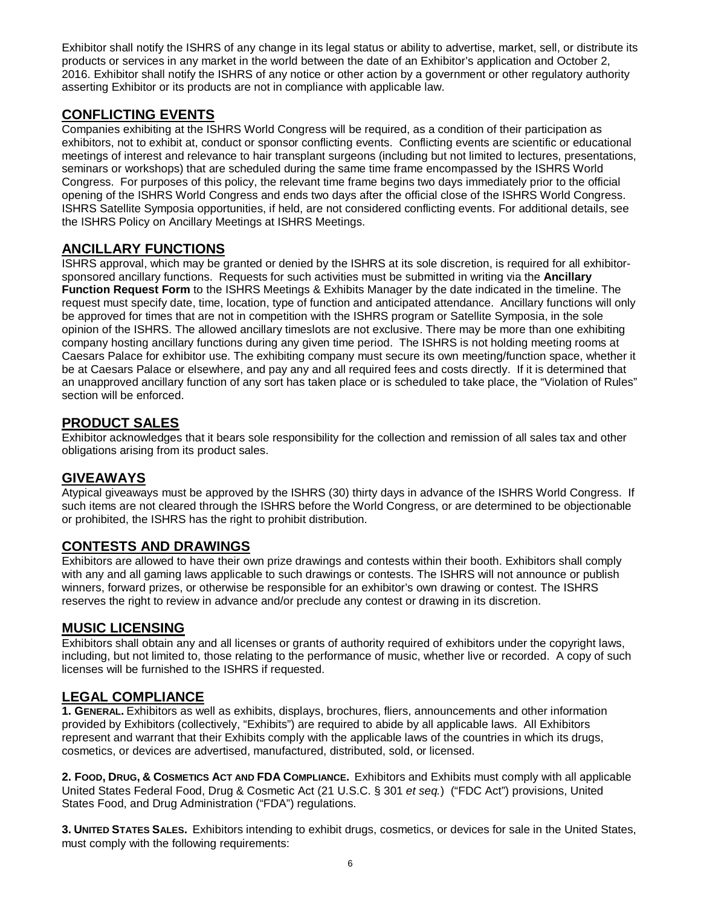Exhibitor shall notify the ISHRS of any change in its legal status or ability to advertise, market, sell, or distribute its products or services in any market in the world between the date of an Exhibitor's application and October 2, 2016. Exhibitor shall notify the ISHRS of any notice or other action by a government or other regulatory authority asserting Exhibitor or its products are not in compliance with applicable law.

# **CONFLICTING EVENTS**

Companies exhibiting at the ISHRS World Congress will be required, as a condition of their participation as exhibitors, not to exhibit at, conduct or sponsor conflicting events. Conflicting events are scientific or educational meetings of interest and relevance to hair transplant surgeons (including but not limited to lectures, presentations, seminars or workshops) that are scheduled during the same time frame encompassed by the ISHRS World Congress. For purposes of this policy, the relevant time frame begins two days immediately prior to the official opening of the ISHRS World Congress and ends two days after the official close of the ISHRS World Congress. ISHRS Satellite Symposia opportunities, if held, are not considered conflicting events. For additional details, see the ISHRS Policy on Ancillary Meetings at ISHRS Meetings.

# **ANCILLARY FUNCTIONS**

ISHRS approval, which may be granted or denied by the ISHRS at its sole discretion, is required for all exhibitorsponsored ancillary functions. Requests for such activities must be submitted in writing via the **Ancillary Function Request Form** to the ISHRS Meetings & Exhibits Manager by the date indicated in the timeline. The request must specify date, time, location, type of function and anticipated attendance. Ancillary functions will only be approved for times that are not in competition with the ISHRS program or Satellite Symposia, in the sole opinion of the ISHRS. The allowed ancillary timeslots are not exclusive. There may be more than one exhibiting company hosting ancillary functions during any given time period. The ISHRS is not holding meeting rooms at Caesars Palace for exhibitor use. The exhibiting company must secure its own meeting/function space, whether it be at Caesars Palace or elsewhere, and pay any and all required fees and costs directly. If it is determined that an unapproved ancillary function of any sort has taken place or is scheduled to take place, the "Violation of Rules" section will be enforced.

# **PRODUCT SALES**

Exhibitor acknowledges that it bears sole responsibility for the collection and remission of all sales tax and other obligations arising from its product sales.

# **GIVEAWAYS**

Atypical giveaways must be approved by the ISHRS (30) thirty days in advance of the ISHRS World Congress. If such items are not cleared through the ISHRS before the World Congress, or are determined to be objectionable or prohibited, the ISHRS has the right to prohibit distribution.

# **CONTESTS AND DRAWINGS**

Exhibitors are allowed to have their own prize drawings and contests within their booth. Exhibitors shall comply with any and all gaming laws applicable to such drawings or contests. The ISHRS will not announce or publish winners, forward prizes, or otherwise be responsible for an exhibitor's own drawing or contest. The ISHRS reserves the right to review in advance and/or preclude any contest or drawing in its discretion.

# **MUSIC LICENSING**

Exhibitors shall obtain any and all licenses or grants of authority required of exhibitors under the copyright laws, including, but not limited to, those relating to the performance of music, whether live or recorded. A copy of such licenses will be furnished to the ISHRS if requested.

# **LEGAL COMPLIANCE**

**1. GENERAL.** Exhibitors as well as exhibits, displays, brochures, fliers, announcements and other information provided by Exhibitors (collectively, "Exhibits") are required to abide by all applicable laws. All Exhibitors represent and warrant that their Exhibits comply with the applicable laws of the countries in which its drugs, cosmetics, or devices are advertised, manufactured, distributed, sold, or licensed.

**2. FOOD, DRUG, & COSMETICS ACT AND FDA COMPLIANCE.** Exhibitors and Exhibits must comply with all applicable United States Federal Food, Drug & Cosmetic Act (21 U.S.C. § 301 *et seq.*) ("FDC Act") provisions, United States Food, and Drug Administration ("FDA") regulations.

**3. UNITED STATES SALES.** Exhibitors intending to exhibit drugs, cosmetics, or devices for sale in the United States, must comply with the following requirements: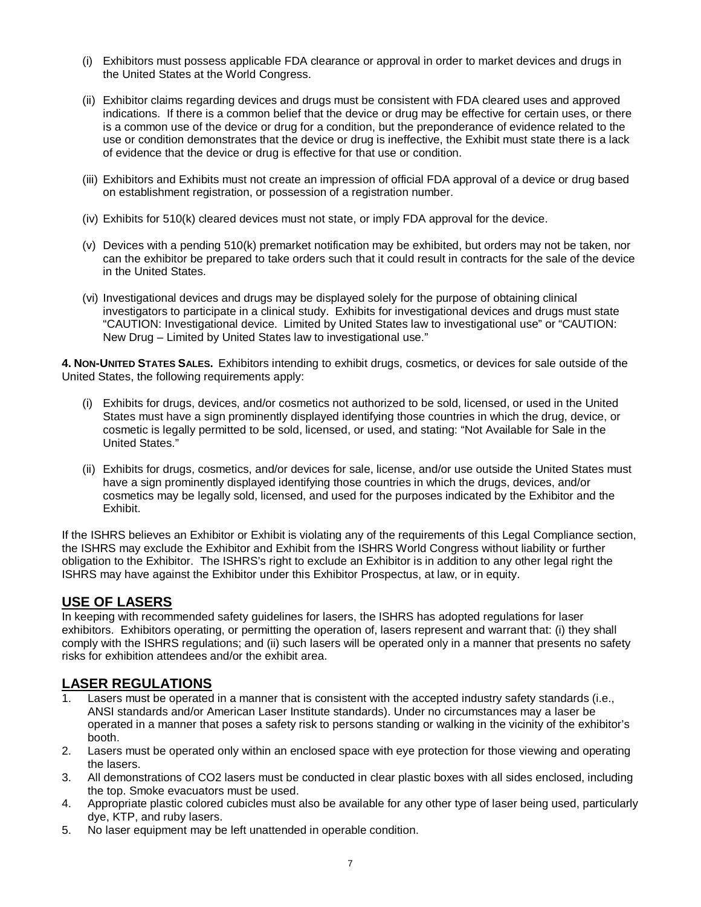- (i) Exhibitors must possess applicable FDA clearance or approval in order to market devices and drugs in the United States at the World Congress.
- (ii) Exhibitor claims regarding devices and drugs must be consistent with FDA cleared uses and approved indications. If there is a common belief that the device or drug may be effective for certain uses, or there is a common use of the device or drug for a condition, but the preponderance of evidence related to the use or condition demonstrates that the device or drug is ineffective, the Exhibit must state there is a lack of evidence that the device or drug is effective for that use or condition.
- (iii) Exhibitors and Exhibits must not create an impression of official FDA approval of a device or drug based on establishment registration, or possession of a registration number.
- (iv) Exhibits for 510(k) cleared devices must not state, or imply FDA approval for the device.
- (v) Devices with a pending 510(k) premarket notification may be exhibited, but orders may not be taken, nor can the exhibitor be prepared to take orders such that it could result in contracts for the sale of the device in the United States.
- (vi) Investigational devices and drugs may be displayed solely for the purpose of obtaining clinical investigators to participate in a clinical study. Exhibits for investigational devices and drugs must state "CAUTION: Investigational device. Limited by United States law to investigational use" or "CAUTION: New Drug – Limited by United States law to investigational use."

**4. NON-UNITED STATES SALES.** Exhibitors intending to exhibit drugs, cosmetics, or devices for sale outside of the United States, the following requirements apply:

- (i) Exhibits for drugs, devices, and/or cosmetics not authorized to be sold, licensed, or used in the United States must have a sign prominently displayed identifying those countries in which the drug, device, or cosmetic is legally permitted to be sold, licensed, or used, and stating: "Not Available for Sale in the United States."
- (ii) Exhibits for drugs, cosmetics, and/or devices for sale, license, and/or use outside the United States must have a sign prominently displayed identifying those countries in which the drugs, devices, and/or cosmetics may be legally sold, licensed, and used for the purposes indicated by the Exhibitor and the Exhibit.

If the ISHRS believes an Exhibitor or Exhibit is violating any of the requirements of this Legal Compliance section, the ISHRS may exclude the Exhibitor and Exhibit from the ISHRS World Congress without liability or further obligation to the Exhibitor. The ISHRS's right to exclude an Exhibitor is in addition to any other legal right the ISHRS may have against the Exhibitor under this Exhibitor Prospectus, at law, or in equity.

# **USE OF LASERS**

In keeping with recommended safety guidelines for lasers, the ISHRS has adopted regulations for laser exhibitors. Exhibitors operating, or permitting the operation of, lasers represent and warrant that: (i) they shall comply with the ISHRS regulations; and (ii) such lasers will be operated only in a manner that presents no safety risks for exhibition attendees and/or the exhibit area.

# **LASER REGULATIONS**

- Lasers must be operated in a manner that is consistent with the accepted industry safety standards (i.e., ANSI standards and/or American Laser Institute standards). Under no circumstances may a laser be operated in a manner that poses a safety risk to persons standing or walking in the vicinity of the exhibitor's booth.
- 2. Lasers must be operated only within an enclosed space with eye protection for those viewing and operating the lasers.
- 3. All demonstrations of CO2 lasers must be conducted in clear plastic boxes with all sides enclosed, including the top. Smoke evacuators must be used.
- 4. Appropriate plastic colored cubicles must also be available for any other type of laser being used, particularly dye, KTP, and ruby lasers.
- 5. No laser equipment may be left unattended in operable condition.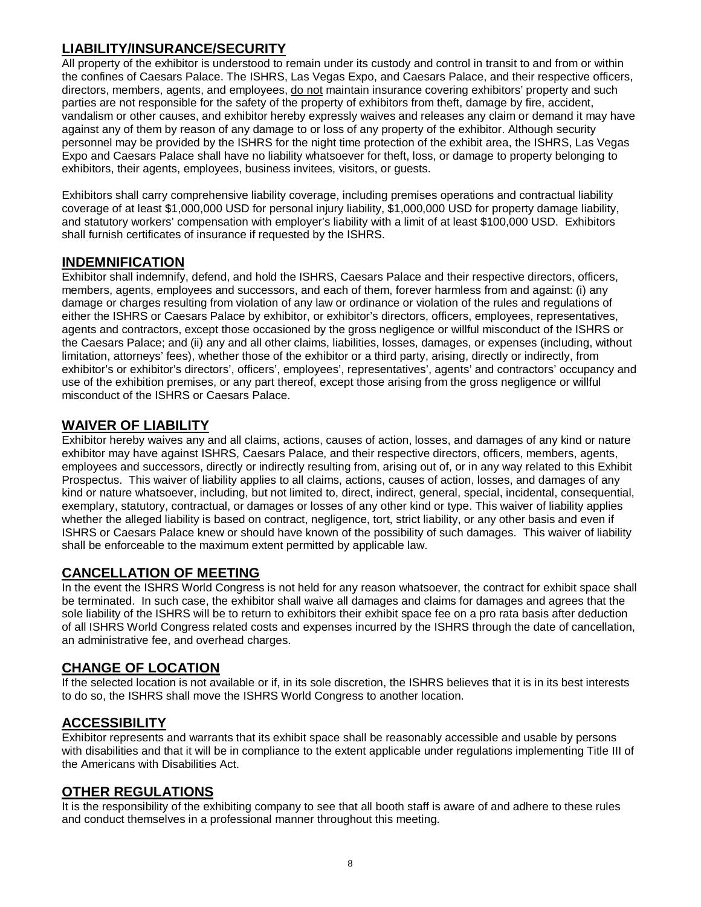# **LIABILITY/INSURANCE/SECURITY**

All property of the exhibitor is understood to remain under its custody and control in transit to and from or within the confines of Caesars Palace. The ISHRS, Las Vegas Expo, and Caesars Palace, and their respective officers, directors, members, agents, and employees, do not maintain insurance covering exhibitors' property and such parties are not responsible for the safety of the property of exhibitors from theft, damage by fire, accident, vandalism or other causes, and exhibitor hereby expressly waives and releases any claim or demand it may have against any of them by reason of any damage to or loss of any property of the exhibitor. Although security personnel may be provided by the ISHRS for the night time protection of the exhibit area, the ISHRS, Las Vegas Expo and Caesars Palace shall have no liability whatsoever for theft, loss, or damage to property belonging to exhibitors, their agents, employees, business invitees, visitors, or guests.

Exhibitors shall carry comprehensive liability coverage, including premises operations and contractual liability coverage of at least \$1,000,000 USD for personal injury liability, \$1,000,000 USD for property damage liability, and statutory workers' compensation with employer's liability with a limit of at least \$100,000 USD. Exhibitors shall furnish certificates of insurance if requested by the ISHRS.

## **INDEMNIFICATION**

Exhibitor shall indemnify, defend, and hold the ISHRS, Caesars Palace and their respective directors, officers, members, agents, employees and successors, and each of them, forever harmless from and against: (i) any damage or charges resulting from violation of any law or ordinance or violation of the rules and regulations of either the ISHRS or Caesars Palace by exhibitor, or exhibitor's directors, officers, employees, representatives, agents and contractors, except those occasioned by the gross negligence or willful misconduct of the ISHRS or the Caesars Palace; and (ii) any and all other claims, liabilities, losses, damages, or expenses (including, without limitation, attorneys' fees), whether those of the exhibitor or a third party, arising, directly or indirectly, from exhibitor's or exhibitor's directors', officers', employees', representatives', agents' and contractors' occupancy and use of the exhibition premises, or any part thereof, except those arising from the gross negligence or willful misconduct of the ISHRS or Caesars Palace.

# **WAIVER OF LIABILITY**

Exhibitor hereby waives any and all claims, actions, causes of action, losses, and damages of any kind or nature exhibitor may have against ISHRS, Caesars Palace, and their respective directors, officers, members, agents, employees and successors, directly or indirectly resulting from, arising out of, or in any way related to this Exhibit Prospectus. This waiver of liability applies to all claims, actions, causes of action, losses, and damages of any kind or nature whatsoever, including, but not limited to, direct, indirect, general, special, incidental, consequential, exemplary, statutory, contractual, or damages or losses of any other kind or type. This waiver of liability applies whether the alleged liability is based on contract, negligence, tort, strict liability, or any other basis and even if ISHRS or Caesars Palace knew or should have known of the possibility of such damages. This waiver of liability shall be enforceable to the maximum extent permitted by applicable law.

# **CANCELLATION OF MEETING**

In the event the ISHRS World Congress is not held for any reason whatsoever, the contract for exhibit space shall be terminated. In such case, the exhibitor shall waive all damages and claims for damages and agrees that the sole liability of the ISHRS will be to return to exhibitors their exhibit space fee on a pro rata basis after deduction of all ISHRS World Congress related costs and expenses incurred by the ISHRS through the date of cancellation, an administrative fee, and overhead charges.

# **CHANGE OF LOCATION**

If the selected location is not available or if, in its sole discretion, the ISHRS believes that it is in its best interests to do so, the ISHRS shall move the ISHRS World Congress to another location.

# **ACCESSIBILITY**

Exhibitor represents and warrants that its exhibit space shall be reasonably accessible and usable by persons with disabilities and that it will be in compliance to the extent applicable under regulations implementing Title III of the Americans with Disabilities Act.

#### **OTHER REGULATIONS**

It is the responsibility of the exhibiting company to see that all booth staff is aware of and adhere to these rules and conduct themselves in a professional manner throughout this meeting.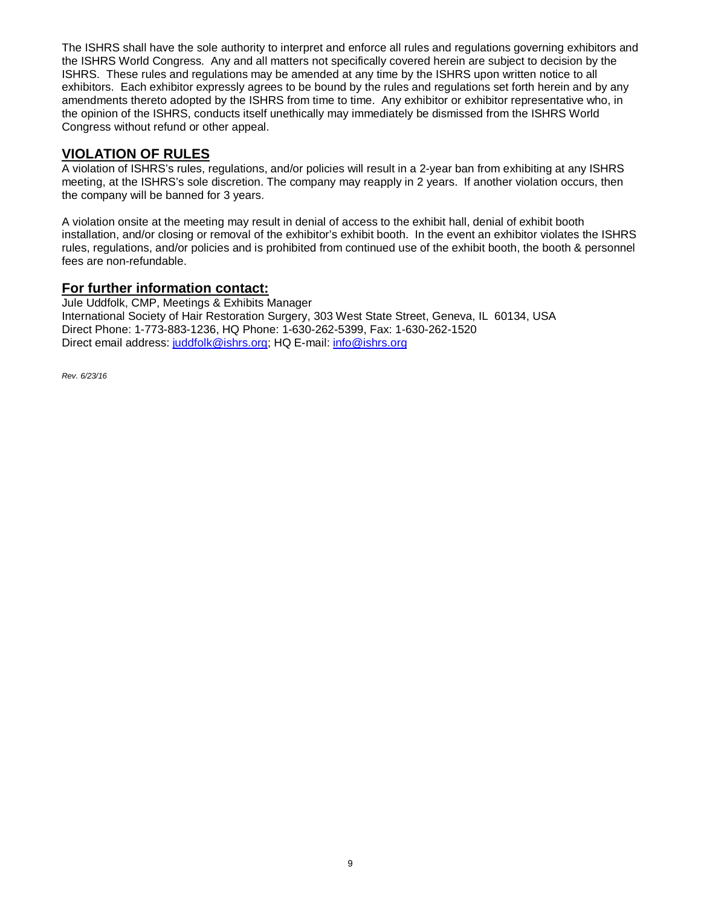The ISHRS shall have the sole authority to interpret and enforce all rules and regulations governing exhibitors and the ISHRS World Congress. Any and all matters not specifically covered herein are subject to decision by the ISHRS. These rules and regulations may be amended at any time by the ISHRS upon written notice to all exhibitors. Each exhibitor expressly agrees to be bound by the rules and regulations set forth herein and by any amendments thereto adopted by the ISHRS from time to time. Any exhibitor or exhibitor representative who, in the opinion of the ISHRS, conducts itself unethically may immediately be dismissed from the ISHRS World Congress without refund or other appeal.

## **VIOLATION OF RULES**

A violation of ISHRS's rules, regulations, and/or policies will result in a 2-year ban from exhibiting at any ISHRS meeting, at the ISHRS's sole discretion. The company may reapply in 2 years. If another violation occurs, then the company will be banned for 3 years.

A violation onsite at the meeting may result in denial of access to the exhibit hall, denial of exhibit booth installation, and/or closing or removal of the exhibitor's exhibit booth. In the event an exhibitor violates the ISHRS rules, regulations, and/or policies and is prohibited from continued use of the exhibit booth, the booth & personnel fees are non-refundable.

#### **For further information contact:**

Jule Uddfolk, CMP, Meetings & Exhibits Manager International Society of Hair Restoration Surgery, 303 West State Street, Geneva, IL 60134, USA Direct Phone: 1-773-883-1236, HQ Phone: 1-630-262-5399, Fax: 1-630-262-1520 Direct email address[: juddfolk@ishrs.org;](mailto:juddfolk@ishrs.org) HQ E-mail: [info@ishrs.org](mailto:info@ishrs.org)

*Rev. 6/23/16*